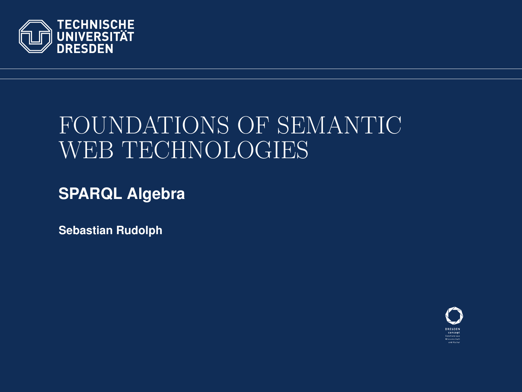

# FOUNDATIONS OF SEMANTIC WEB TECHNOLOGIES

**SPARQL Algebra**

**Sebastian Rudolph**

<span id="page-0-0"></span>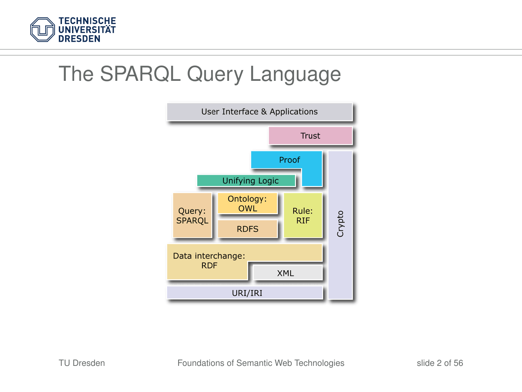

#### The SPARQL Query Language

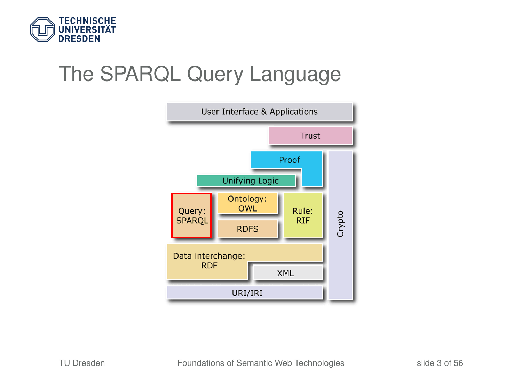

#### The SPARQL Query Language

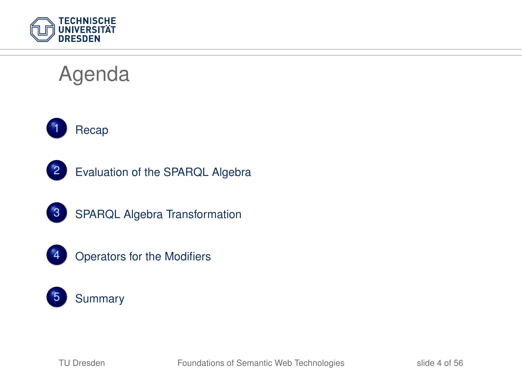

# Agenda





- [Evaluation of the SPARQL Algebra](#page-22-0)
- [SPARQL Algebra Transformation](#page-42-0)



[Operators for the Modifiers](#page-49-0)

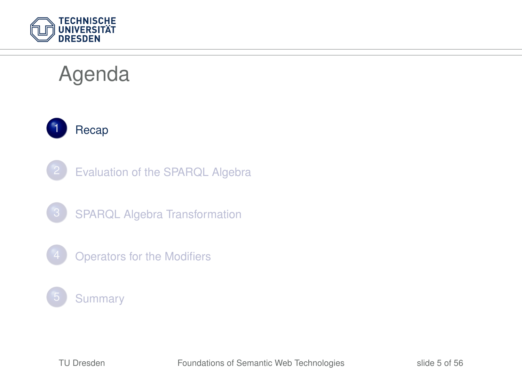

# Agenda



- [Evaluation of the SPARQL Algebra](#page-22-0)
- 3 [SPARQL Algebra Transformation](#page-42-0)
- **[Operators for the Modifiers](#page-49-0)**

#### **[Summary](#page-53-0)**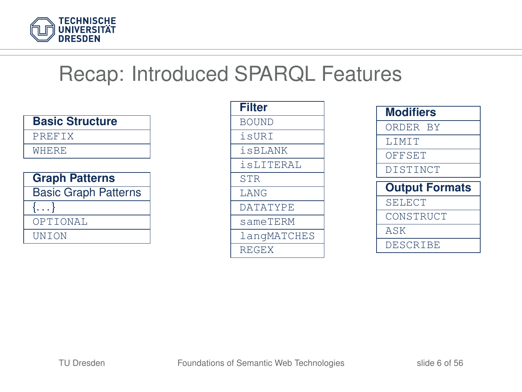

#### Recap: Introduced SPARQL Features

| <b>Basic Structure</b>      |
|-----------------------------|
| PREFTX                      |
| <b>WHERE</b>                |
|                             |
| <b>Graph Patterns</b>       |
| <b>Basic Graph Patterns</b> |
| $\{ \ldots \}$              |
| OPTIONAL                    |
| UNTON                       |

| <b>Filter</b>   |
|-----------------|
| <b>BOUND</b>    |
| isURT           |
| <i>i</i> sBLANK |
| isLITERAL       |
| <b>STR</b>      |
| <b>T.ANG</b>    |
| <b>DATATYPE</b> |
| sameTERM        |
| langMATCHES     |
| REGEX           |

<span id="page-5-0"></span>

| <b>Modifiers</b> |                       |
|------------------|-----------------------|
| ORDER BY         |                       |
| <b>T.TMTT</b>    |                       |
| OFFSET           |                       |
| DISTINCT         |                       |
|                  |                       |
|                  | <b>Output Formats</b> |
| <b>SELECT</b>    |                       |
| CONSTRUCT        |                       |
| ASK              |                       |
| DESCRIBE         |                       |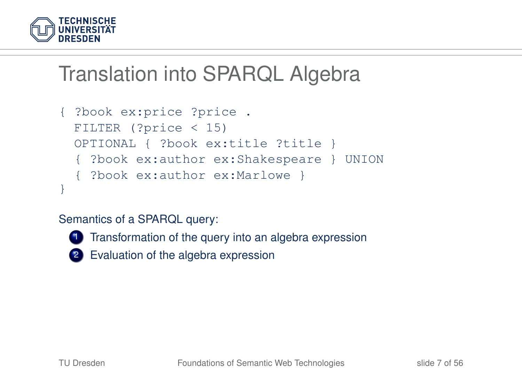

```
{ ?book ex:price ?price .
 FILTER (?price < 15)
 OPTIONAL { ?book ex:title ?title }
  { ?book ex:author ex:Shakespeare } UNION
  { ?book ex:author ex:Marlowe }
}
```
#### Semantics of a SPARQL query:



1 Transformation of the query into an algebra expression

2 Evaluation of the algebra expression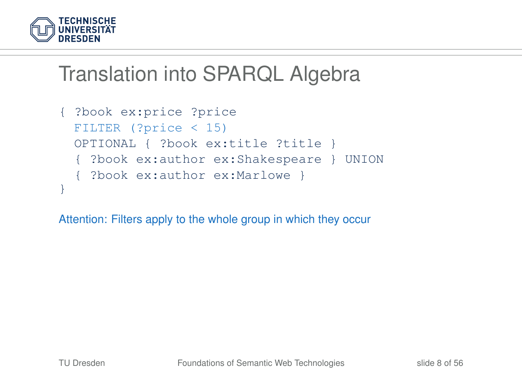

```
{ ?book ex:price ?price
 FILTER (?price < 15)
 OPTIONAL { ?book ex:title ?title }
  { ?book ex:author ex:Shakespeare } UNION
  { ?book ex:author ex:Marlowe }
}
```
Attention: Filters apply to the whole group in which they occur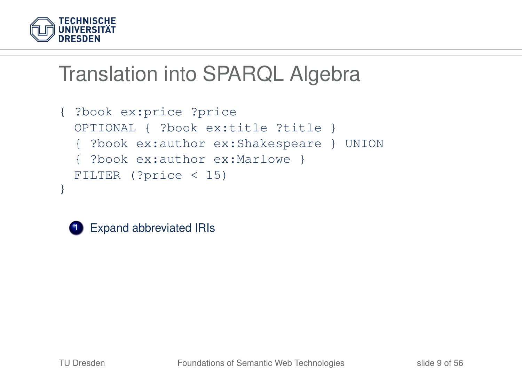

```
{ ?book ex:price ?price
 OPTIONAL { ?book ex:title ?title }
  { ?book ex:author ex:Shakespeare } UNION
  { ?book ex:author ex:Marlowe }
 FILTER (?price < 15)
}
```


**1** Expand abbreviated IRIs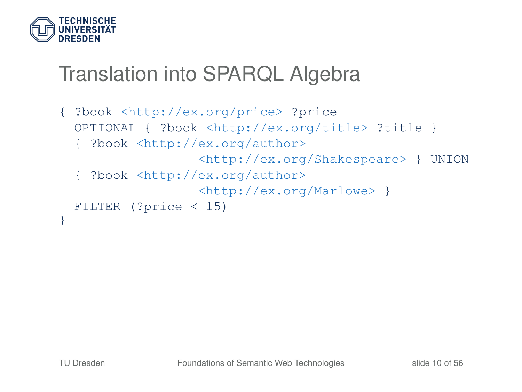

```
{ ?book <http://ex.org/price> ?price
 OPTIONAL { ?book <http://ex.org/title> ?title }
  { ?book <http://ex.org/author>
                  <http://ex.org/Shakespeare> } UNION
  { ?book <http://ex.org/author>
                  <http://ex.org/Marlowe> }
 FILTER (?price < 15)
}
```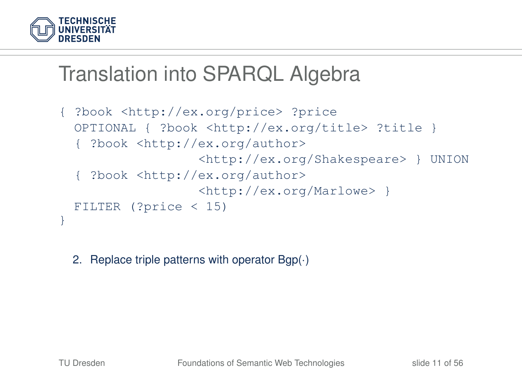

```
{ ?book <http://ex.org/price> ?price
 OPTIONAL { ?book <http://ex.org/title> ?title }
  { ?book <http://ex.org/author>
                  <http://ex.org/Shakespeare> } UNION
   { ?book <http://ex.org/author>
                  <http://ex.org/Marlowe> }
 FILTER (?price < 15)
}
```
2. Replace triple patterns with operator Bgp(·)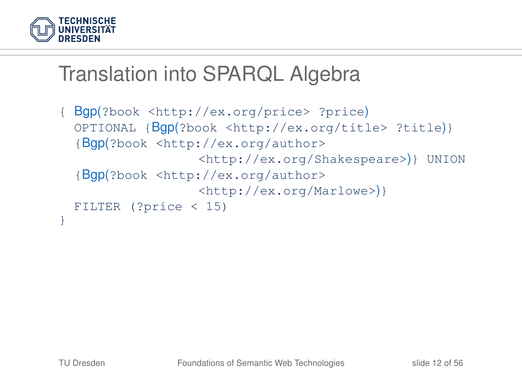

```
{ Bgp(?book <http://ex.org/price> ?price)
 OPTIONAL {Bgp(?book <http://ex.org/title> ?title)}
  {Bgp(?book <http://ex.org/author>
                  <http://ex.org/Shakespeare>)} UNION
  {Bgp(?book <http://ex.org/author>
                  <http://ex.org/Marlowe>)}
 FILTER (?price < 15)
}
```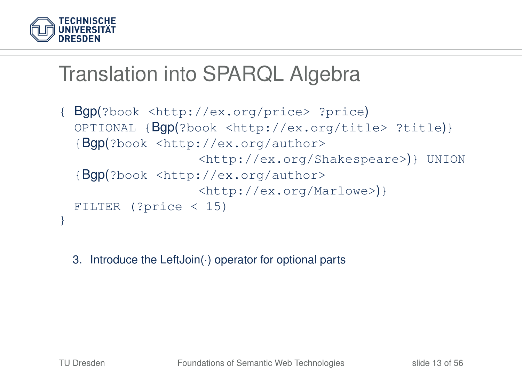

```
{ Bgp(?book <http://ex.org/price> ?price)
 OPTIONAL {Bgp(?book <http://ex.org/title> ?title)}
  {Bgp(?book <http://ex.org/author>
                  <http://ex.org/Shakespeare>)} UNION
  {Bgp(?book <http://ex.org/author>
                  <http://ex.org/Marlowe>)}
 FILTER (?price < 15)
}
```
3. Introduce the LeftJoin(·) operator for optional parts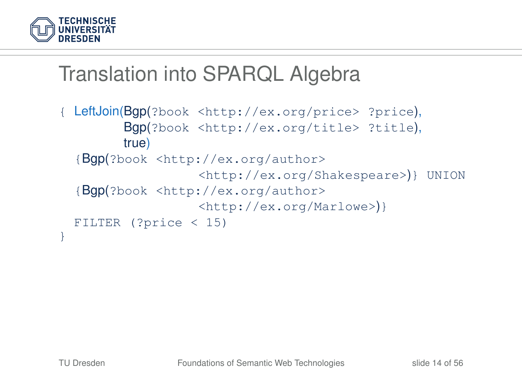

```
{ LeftJoin(Bgp(?book <http://ex.org/price> ?price),
        Bgp(?book <http://ex.org/title> ?title),
        true)
  {Bgp(?book <http://ex.org/author>
                   <http://ex.org/Shakespeare>)} UNION
  {Bgp(?book <http://ex.org/author>
                  <http://ex.org/Marlowe>)}
 FILTER (?price < 15)
}
```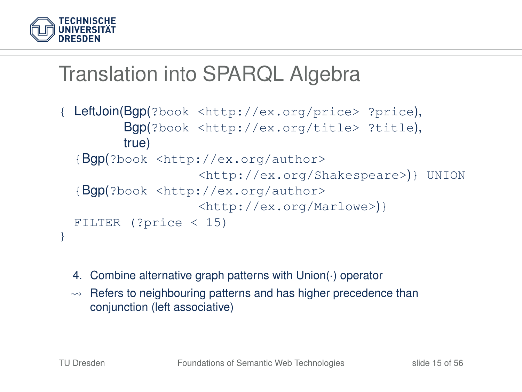

```
LeftJoin(Bgp(?book <http://ex.org/price> ?price),
        Bgp(?book <http://ex.org/title> ?title),
        true)
  {Bgp(?book <http://ex.org/author>
                   <http://ex.org/Shakespeare>)} UNION
  {Bgp(?book <http://ex.org/author>
                   <http://ex.org/Marlowe>)}
 FILTER (?price < 15)
}
```
- 4. Combine alternative graph patterns with Union(·) operator
- $\rightarrow$  Refers to neighbouring patterns and has higher precedence than conjunction (left associative)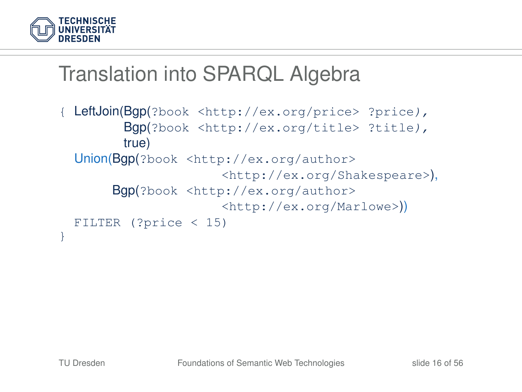

```
LeftJoin(Bgp(?book <http://ex.org/price> ?price),
        Bgp(?book <http://ex.org/title> ?title),
        true)
 Union(Bgp(?book <http://ex.org/author>
                      <http://ex.org/Shakespeare>),
       Bgp(?book <http://ex.org/author>
                      <http://ex.org/Marlowe>))
 FILTER (?price < 15)
}
```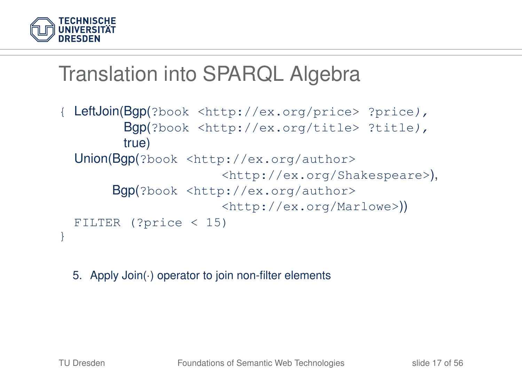

```
LeftJoin(Bgp(?book <http://ex.org/price> ?price),
        Bgp(?book <http://ex.org/title> ?title),
        true)
 Union(Bgp(?book <http://ex.org/author>
                      <http://ex.org/Shakespeare>),
       Bgp(?book <http://ex.org/author>
                      <http://ex.org/Marlowe>))
 FILTER (?price < 15)
}
```
5. Apply Join(·) operator to join non-filter elements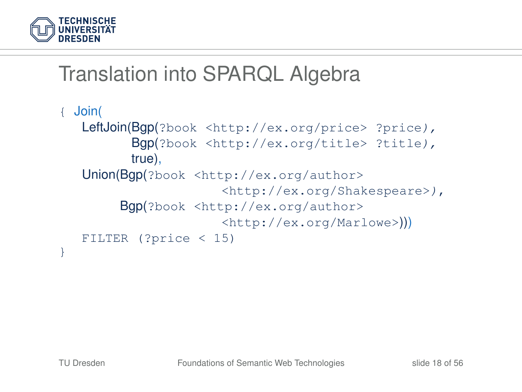

```
{ Join(
  LeftJoin(Bgp(?book <http://ex.org/price> ?price),
         Bgp(?book <http://ex.org/title> ?title),
         true),
  Union(Bgp(?book <http://ex.org/author>
                      <http://ex.org/Shakespeare>),
        Bgp(?book <http://ex.org/author>
                      <http://ex.org/Marlowe>)))
  FILTER (?price < 15)
}
```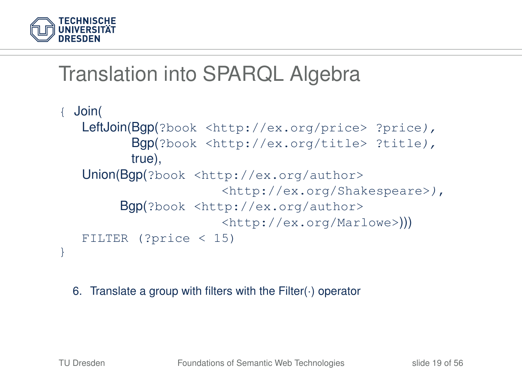

```
{ Join(
  LeftJoin(Bgp(?book <http://ex.org/price> ?price),
         Bgp(?book <http://ex.org/title> ?title),
         true),
  Union(Bgp(?book <http://ex.org/author>
                      <http://ex.org/Shakespeare>),
        Bgp(?book <http://ex.org/author>
                      <http://ex.org/Marlowe>)))
  FILTER (?price < 15)
}
```
6. Translate a group with filters with the Filter(·) operator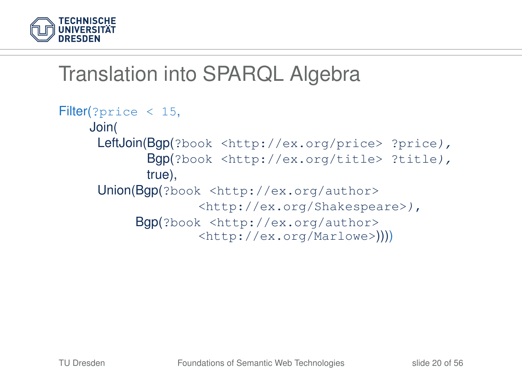

```
Filter(?price < 15,
    Join(
     LeftJoin(Bgp(?book <http://ex.org/price> ?price),
            Bgp(?book <http://ex.org/title> ?title),
            true),
     Union(Bgp(?book <http://ex.org/author>
                   <http://ex.org/Shakespeare>),
          Bgp(?book <http://ex.org/author>
                   <http://ex.org/Marlowe>))))
```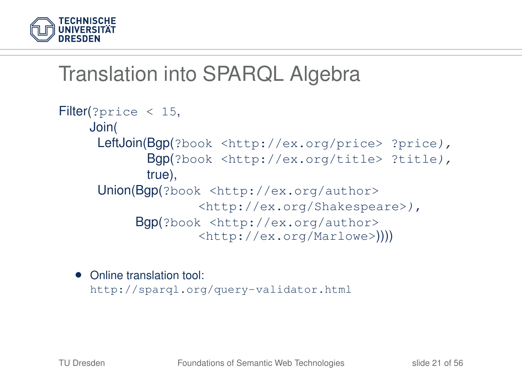

```
Filter(?price < 15,
    Join(
     LeftJoin(Bgp(?book <http://ex.org/price> ?price),
            Bgp(?book <http://ex.org/title> ?title),
            true),
     Union(Bgp(?book <http://ex.org/author>
                   <http://ex.org/Shakespeare>),
          Bgp(?book <http://ex.org/author>
                   <http://ex.org/Marlowe>))))
```
• Online translation tool: <http://sparql.org/query-validator.html>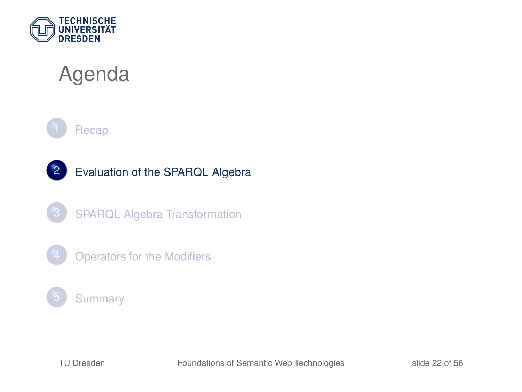

# Agenda



2 [Evaluation of the SPARQL Algebra](#page-22-0)

3 [SPARQL Algebra Transformation](#page-42-0)

**[Operators for the Modifiers](#page-49-0)** 

#### **[Summary](#page-53-0)**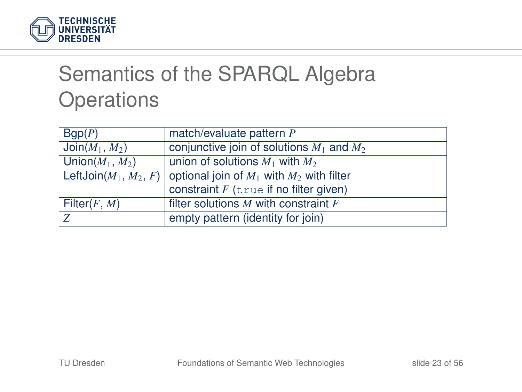

# Semantics of the SPARQL Algebra **Operations**

<span id="page-22-0"></span>

| Bqp(P)                                | match/evaluate pattern P                                               |
|---------------------------------------|------------------------------------------------------------------------|
| $\overline{\mathsf{Join}(M_1,\,M_2)}$ | conjunctive join of solutions $M_1$ and $M_2$                          |
| Union $(M_1, M_2)$                    | union of solutions $M_1$ with $M_2$                                    |
|                                       | LeftJoin $(M_1, M_2, F)$ optional join of $M_1$ with $M_2$ with filter |
|                                       | constraint $F$ (true if no filter given)                               |
| Filter $(F, M)$                       | filter solutions $M$ with constraint $F$                               |
| Z                                     | empty pattern (identity for join)                                      |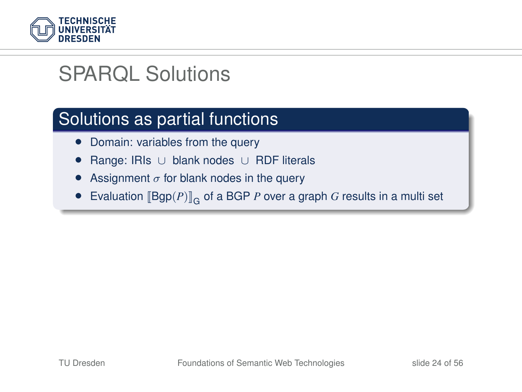

## SPARQL Solutions

#### Solutions as partial functions

- Domain: variables from the query
- Range: IRIs ∪ blank nodes ∪ RDF literals
- Assignment  $\sigma$  for blank nodes in the query
- Evaluation  $[\mathsf{Bgp}(P)]_{\mathsf{G}}$  of a BGP *P* over a graph *G* results in a multi set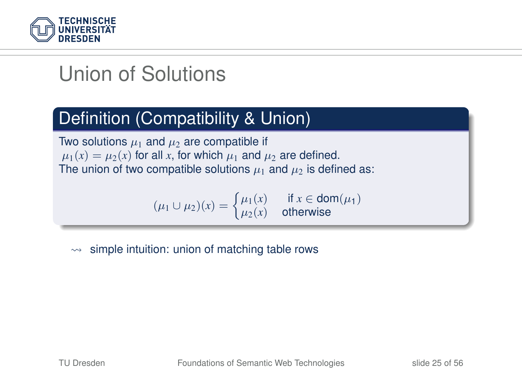

# Union of Solutions

#### Definition (Compatibility & Union)

Two solutions  $\mu_1$  and  $\mu_2$  are compatible if  $\mu_1(x) = \mu_2(x)$  for all x, for which  $\mu_1$  and  $\mu_2$  are defined. The union of two compatible solutions  $\mu_1$  and  $\mu_2$  is defined as:

> $(\mu_1 \cup \mu_2)(x) = \begin{cases} \mu_1(x) & \text{if } x \in \text{dom}(\mu_1) \\ \mu_2(x) & \text{otherwise} \end{cases}$  $\mu_2(x)$  otherwise

 $\rightarrow$  simple intuition: union of matching table rows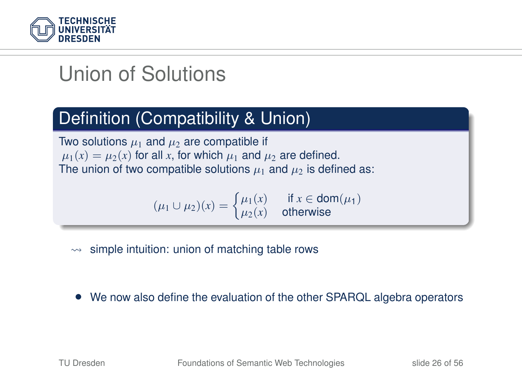

# Union of Solutions

#### Definition (Compatibility & Union)

Two solutions  $\mu_1$  and  $\mu_2$  are compatible if  $\mu_1(x) = \mu_2(x)$  for all x, for which  $\mu_1$  and  $\mu_2$  are defined. The union of two compatible solutions  $\mu_1$  and  $\mu_2$  is defined as:

> $(\mu_1 \cup \mu_2)(x) = \begin{cases} \mu_1(x) & \text{if } x \in \text{dom}(\mu_1) \\ \mu_2(x) & \text{otherwise} \end{cases}$  $\mu_2(x)$  otherwise

- $\rightarrow$  simple intuition: union of matching table rows
- We now also define the evaluation of the other SPARQL algebra operators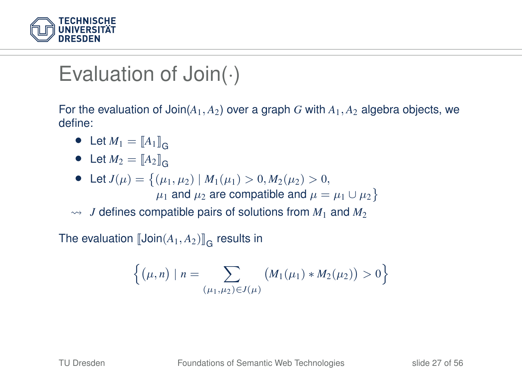

### Evaluation of Join $(\cdot)$

For the evaluation of Join(*A*1, *A*2) over a graph *G* with *A*1, *A*<sup>2</sup> algebra objects, we define:

- Let  $M_1 = [A_1]_{G}$
- Let  $M_2 = [A_2]_G$
- Let  $J(\mu) = \{(\mu_1, \mu_2) | M_1(\mu_1) > 0, M_2(\mu_2) > 0,$  $\mu_1$  and  $\mu_2$  are compatible and  $\mu = \mu_1 \cup \mu_2$  }

 $\rightarrow$  *J* defines compatible pairs of solutions from  $M_1$  and  $M_2$ 

The evaluation  $[\![\mathsf{Join}(A_1, A_2)]\!]_{\mathsf{G}}$  results in

$$
\left\{(\mu, n) \mid n = \sum_{(\mu_1, \mu_2) \in J(\mu)} \left( M_1(\mu_1) * M_2(\mu_2) \right) > 0 \right\}
$$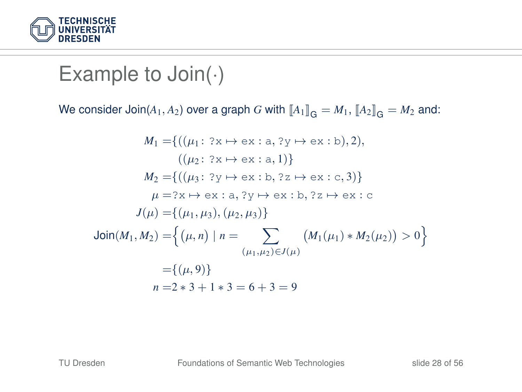

#### Example to Join(.)

We consider  $Join(A_1, A_2)$  over a graph *G* with  $\llbracket A_1 \rrbracket_G = M_1$ ,  $\llbracket A_2 \rrbracket_G = M_2$  and:

$$
M_1 = \{ ((\mu_1 : ? \times \mapsto \text{ex} : \text{a}, ? \text{y} \mapsto \text{ex} : \text{b}), 2),
$$
  
\n
$$
((\mu_2 : ? \times \mapsto \text{ex} : \text{a}, 1)) \}
$$
  
\n
$$
M_2 = \{ ((\mu_3 : ? \text{y} \mapsto \text{ex} : \text{b}, ? \text{z} \mapsto \text{ex} : \text{c}, 3)) \}
$$
  
\n
$$
\mu = ? \text{x} \mapsto \text{ex} : \text{a}, ? \text{y} \mapsto \text{ex} : \text{b}, ? \text{z} \mapsto \text{ex} : \text{c}
$$
  
\n
$$
J(\mu) = \{ (\mu_1, \mu_3), (\mu_2, \mu_3) \}
$$
  
\n
$$
\text{Join}(M_1, M_2) = \left\{ (\mu, n) \mid n = \sum_{(\mu_1, \mu_2) \in J(\mu)} (M_1(\mu_1) * M_2(\mu_2)) > 0 \right\}
$$
  
\n
$$
= \{ (\mu, 9) \}
$$
  
\n
$$
n = 2 * 3 + 1 * 3 = 6 + 3 = 9
$$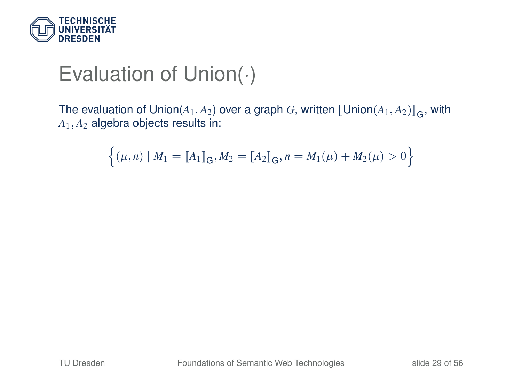

# Evaluation of Union(·)

The evaluation of Union( $A_1, A_2$ ) over a graph *G*, written  $[\![\mathsf{Union}(A_1, A_2)]\!]_G$ , with  $A_4$ , algebra objects results in: *A*1, *A*<sup>2</sup> algebra objects results in:

$$
\left\{ (\mu, n) \mid M_1 = \llbracket A_1 \rrbracket_{\mathbf{G}}, M_2 = \llbracket A_2 \rrbracket_{\mathbf{G}}, n = M_1(\mu) + M_2(\mu) > 0 \right\}
$$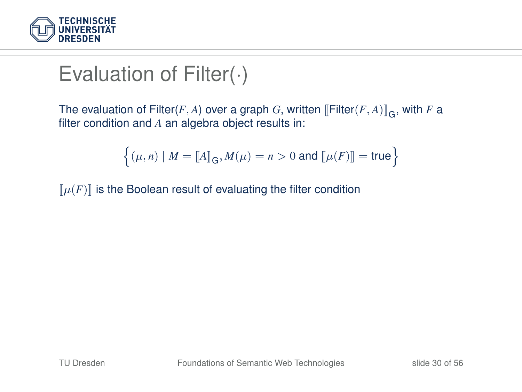

# Evaluation of Filter(·)

The evaluation of Filter(*F*, *A*) over a graph *G*, written [Filter(*F*, *A*)]<sub>G</sub>, with *F* a<br>filter condition and *A* an algebra object results in: filter condition and *A* an algebra object results in:

$$
\left\{(\mu, n) \mid M = \llbracket A \rrbracket_{\mathsf{G}}, M(\mu) = n > 0 \text{ and } \llbracket \mu(F) \rrbracket = \mathsf{true} \right\}
$$

 $\llbracket \mu(F) \rrbracket$  is the Boolean result of evaluating the filter condition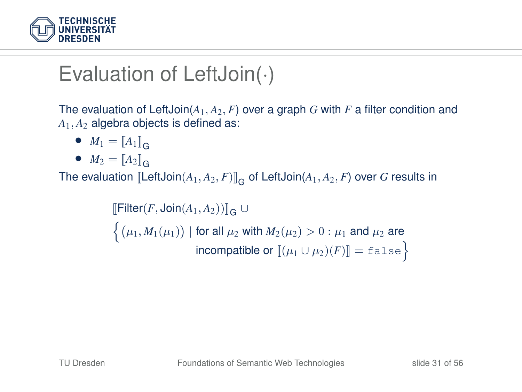

# Evaluation of LeftJoin(·)

The evaluation of LeftJoin(*A*1, *A*2, *F*) over a graph *G* with *F* a filter condition and *A*1, *A*<sup>2</sup> algebra objects is defined as:

- $M_1 = [A_1]_G$
- $M_2 = [A_2]_G$

The evaluation  $[\textsf{LeftJoin}(A_1, A_2, F)]_{\mathsf{G}}$  of LeftJoin $(A_1, A_2, F)$  over  $G$  results in

 $\llbracket$ Filter(*F*, Join(*A*<sub>1</sub>, *A*<sub>2</sub>)) $\rrbracket$ <sub>G</sub> ∪  $\Big\{ \big(\mu_1, M_1(\mu_1)\big) \ | \ \text{for all} \ \mu_2 \ \text{with} \ M_2(\mu_2) > 0 : \mu_1 \ \text{and} \ \mu_2 \ \text{are}$ incompatible or  $[\![(\mu_1 \cup \mu_2)(F)]\!] = \texttt{false}$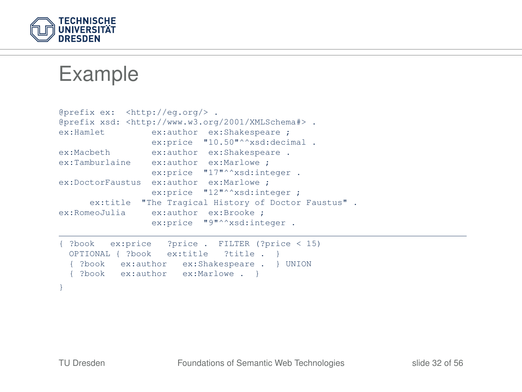

Example

```
@prefix ex: <http://eg.org/> .
@prefix xsd: <http://www.w3.org/2001/XMLSchema#> .
                ex:author ex:Shakespeare ;
                ex:price "10.50"^^xsd:decimal .
ex:Macbeth ex:author ex:Shakespeare .
ex:Tamburlaine ex:author ex:Marlowe ;
               ex:price "17"^^xsd:integer .
ex:DoctorFaustus ex:author ex:Marlowe ;
                ex:price "12"^^xsd:integer ;
     ex:title "The Tragical History of Doctor Faustus".
ex:RomeoJulia ex:author ex:Brooke ;
                ex:price "9"^^xsd:integer .
{ ?book ex:price ?price . FILTER (?price < 15)
 OPTIONAL { ?book ex:title ?title . }
  { ?book ex:author ex:Shakespeare . } UNION
 { ?book ex:author ex:Marlowe . }
```
 $\lambda$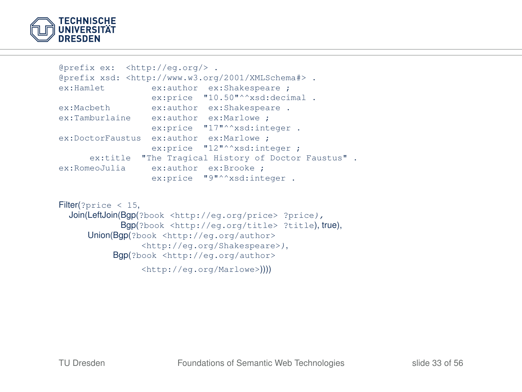

```
@prefix ex: <http://eg.org/> .
@prefix xsd: <http://www.w3.org/2001/XMLSchema#> .
ex:Hamlet ex:author ex:Shakespeare ;
                ex:price "10.50"^^xsd:decimal .
ex:Macbeth ex:author ex:Shakespeare .
ex:Tamburlaine ex:author ex:Marlowe ;
               ex:price "17"^^xsd:integer .
ex:DoctorFaustus ex:author ex:Marlowe ;
                ex:price "12"^^xsd:integer ;
     ex:title "The Tragical History of Doctor Faustus" .
ex:RomeoJulia ex:author ex:Brooke ;
                ex:price "9"^^xsd:integer .
```

```
Filter(?price < 15,
  Join(LeftJoin(Bgp(?book <http://eg.org/price> ?price),
            Bgp(?book <http://eg.org/title> ?title), true),
     Union(Bgp(?book <http://eg.org/author>
                 <http://eg.org/Shakespeare>),
           Bgp(?book <http://eg.org/author>
                 <http://eg.org/Marlowe>))))
```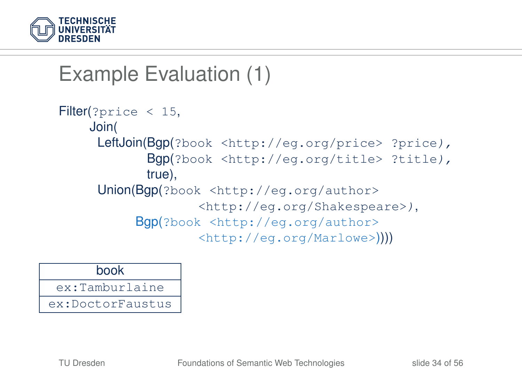

# Example Evaluation (1)

```
Filter(?price < 15,
    Join(
     LeftJoin(Bgp(?book <http://eg.org/price> ?price),
            Bgp(?book <http://eg.org/title> ?title),
            true),
     Union(Bgp(?book <http://eg.org/author>
                   <http://eg.org/Shakespeare>),
          Bgp(?book <http://eg.org/author>
                   <http://eg.org/Marlowe>))))
```
#### book

ex:Tamburlaine

ex:DoctorFaustus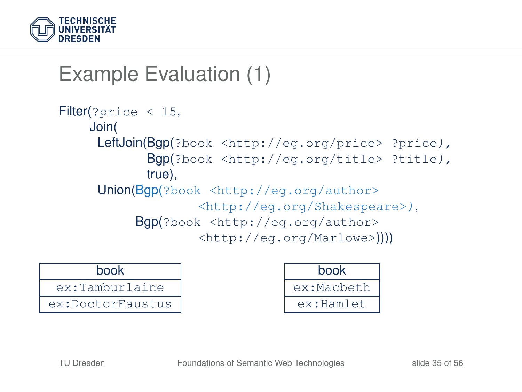

# Example Evaluation (1)

```
Filter(?price < 15,
    Join(
     LeftJoin(Bgp(?book <http://eg.org/price> ?price),
            Bgp(?book <http://eg.org/title> ?title),
            true),
     Union(Bgp(?book <http://eg.org/author>
                   <http://eg.org/Shakespeare>),
          Bgp(?book <http://eg.org/author>
                   <http://eg.org/Marlowe>))))
```
#### book

ex:Tamburlaine

ex:DoctorFaustus

| book       |
|------------|
| ex:Macbeth |
| ex:Hamlet  |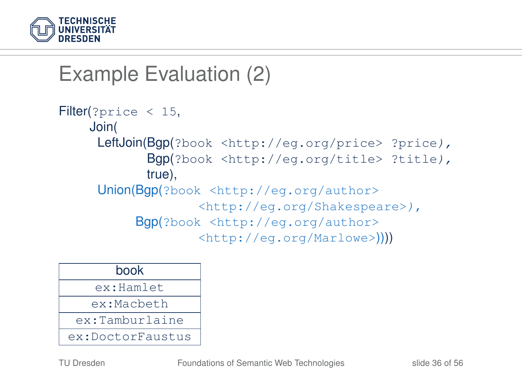

# Example Evaluation (2)

```
Filter(?price < 15,
    Join(
     LeftJoin(Bgp(?book <http://eg.org/price> ?price),
            Bgp(?book <http://eg.org/title> ?title),
            true),
     Union(Bgp(?book <http://eg.org/author>
                   <http://eg.org/Shakespeare>),
          Bgp(?book <http://eg.org/author>
                   <http://eg.org/Marlowe>))))
```

| book             |
|------------------|
| ex:Hamlet        |
| ex:Macbeth       |
| ex:Tamburlaine   |
| ex:DoctorFaustus |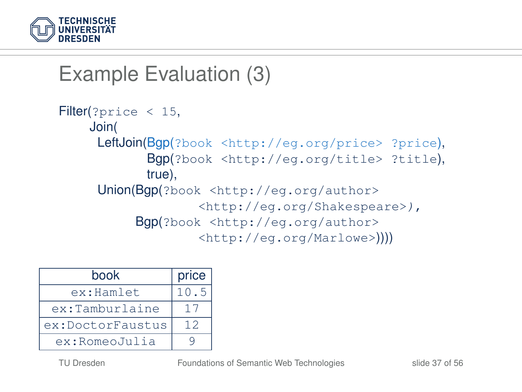

# Example Evaluation (3)

```
Filter(?price < 15,
    Join(
     LeftJoin(Bgp(?book <http://eg.org/price> ?price),
            Bgp(?book <http://eg.org/title> ?title),
            true),
     Union(Bgp(?book <http://eg.org/author>
                   <http://eg.org/Shakespeare>),
          Bgp(?book <http://eg.org/author>
                   <http://eg.org/Marlowe>))))
```

| book             | price |
|------------------|-------|
| ex:Hamlet        | 10.5  |
| ex:Tamburlaine   | 17    |
| ex:DoctorFaustus | 12    |
| ex:RomeoJulia    |       |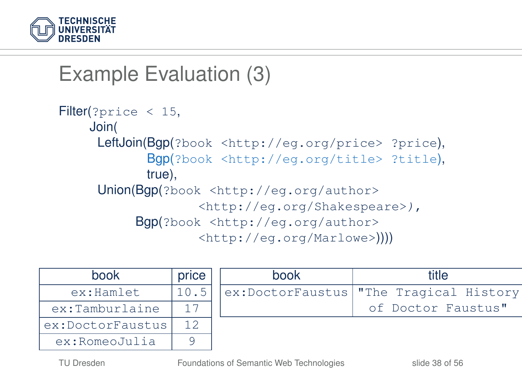

## Example Evaluation (3)

```
Filter(?price < 15,
    Join(
     LeftJoin(Bgp(?book <http://eg.org/price> ?price),
            Bgp(?book <http://eg.org/title> ?title),
            true),
     Union(Bgp(?book <http://eg.org/author>
                   <http://eg.org/Shakespeare>),
          Bgp(?book <http://eg.org/author>
                   <http://eg.org/Marlowe>))))
```

| book             | price |
|------------------|-------|
| ex:Hamlet        | 10.5  |
| ex:Tamburlaine   | 17    |
| ex:DoctorFaustus | 12    |
| ex:RomeoJulia    |       |

| title                                  |  |  |  |  |  |
|----------------------------------------|--|--|--|--|--|
| ex:DoctorFaustus "The Tragical History |  |  |  |  |  |
| of Doctor Faustus"                     |  |  |  |  |  |
|                                        |  |  |  |  |  |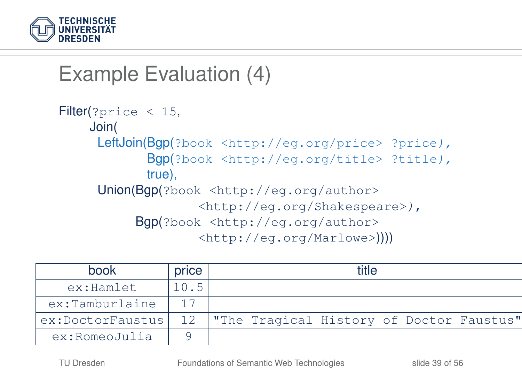

## Example Evaluation (4)

```
Filter(?price < 15,
    Join(
     LeftJoin(Bgp(?book <http://eq.org/price> ?price),
            Bgp(?book <http://eg.org/title> ?title),
            true),
     Union(Bgp(?book <http://eg.org/author>
                   <http://eg.org/Shakespeare>),
          Bgp(?book <http://eg.org/author>
                   <http://eg.org/Marlowe>))))
```

| book             | price | ʻitle |                                          |  |  |  |  |
|------------------|-------|-------|------------------------------------------|--|--|--|--|
| ex:Hamlet        | 10.5  |       |                                          |  |  |  |  |
| ex:Tamburlaine   |       |       |                                          |  |  |  |  |
| ex:DoctorFaustus | 12    |       | "The Tragical History of Doctor Faustus" |  |  |  |  |
| ex:RomeoJulia    |       |       |                                          |  |  |  |  |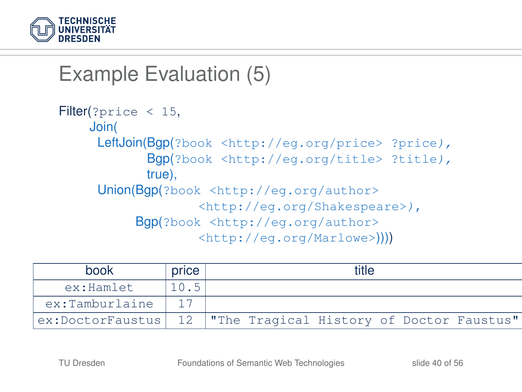

### Example Evaluation (5)

```
Filter(?price < 15,
    Join(
     LeftJoin(Bgp(?book <http://eq.org/price> ?price),
            Bgp(?book <http://eg.org/title> ?title),
            true),
     Union(Bgp(?book <http://eg.org/author>
                   <http://eg.org/Shakespeare>),
          Bgp(?book <http://eg.org/author>
                   <http://eg.org/Marlowe>))))
```

| book             | price | title |                                          |  |  |  |  |
|------------------|-------|-------|------------------------------------------|--|--|--|--|
| ex:Hamlet        | 10.5  |       |                                          |  |  |  |  |
| ex:Tamburlaine   |       |       |                                          |  |  |  |  |
| ex:DoctorFaustus | 12    |       | "The Tragical History of Doctor Faustus" |  |  |  |  |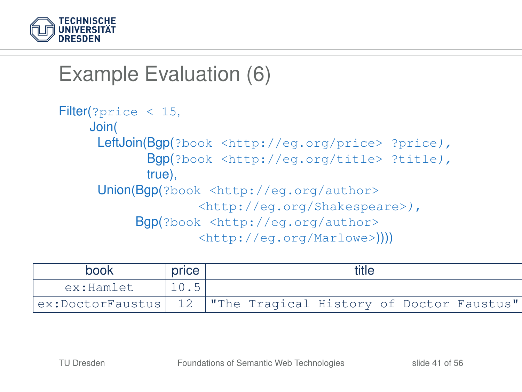

## Example Evaluation (6)

```
Filter(?price < 15,
    Join(
     LeftJoin(Bgp(?book <http://eq.org/price> ?price),
            Bgp(?book <http://eg.org/title> ?title),
            true),
     Union(Bgp(?book <http://eg.org/author>
                   <http://eg.org/Shakespeare>),
          Bgp(?book <http://eg.org/author>
                   <http://eg.org/Marlowe>))))
```

| book             | price | title |                                          |  |  |  |  |
|------------------|-------|-------|------------------------------------------|--|--|--|--|
| ex:Hamlet        | 10.5  |       |                                          |  |  |  |  |
| ex:DoctorFaustus |       |       | "The Tragical History of Doctor Faustus" |  |  |  |  |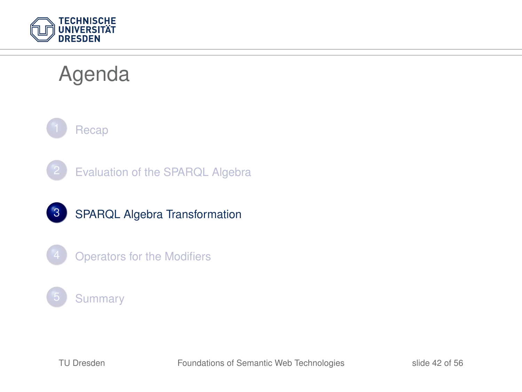

# Agenda









#### **[Summary](#page-53-0)**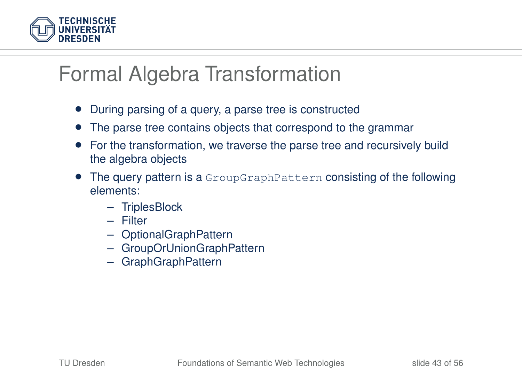

#### Formal Algebra Transformation

- During parsing of a query, a parse tree is constructed
- The parse tree contains objects that correspond to the grammar
- For the transformation, we traverse the parse tree and recursively build the algebra objects
- <span id="page-42-0"></span>• The query pattern is a GroupGraphPattern consisting of the following elements:
	- TriplesBlock
	- Filter
	- OptionalGraphPattern
	- GroupOrUnionGraphPattern
	- GraphGraphPattern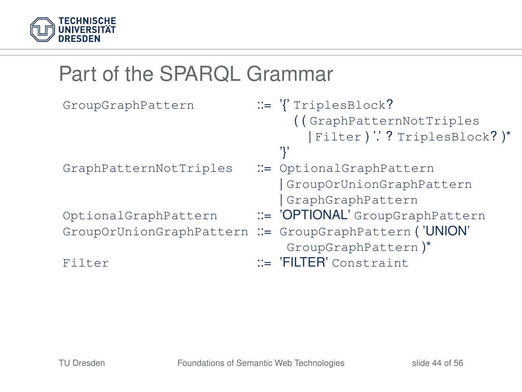

# Part of the SPARQL Grammar

| GroupGraphPattern      | $ ::= \langle \rangle$ TriplesBlock?                    |
|------------------------|---------------------------------------------------------|
|                        | ((GraphPatternNotTriples                                |
|                        | Filter ) " ? TriplesBlock? )*                           |
|                        |                                                         |
| GraphPatternNotTriples | ::= OptionalGraphPattern                                |
|                        | GroupOrUnionGraphPattern                                |
|                        | GraphGraphPattern                                       |
| OptionalGraphPattern   | ::= 'OPTIONAL' GroupGraphPattern                        |
|                        | GroupOrUnionGraphPattern : = GroupGraphPattern ('UNION' |
|                        | GroupGraphPattern)*                                     |
| Filter                 | $ ::= 'FlITER'$ Constraint                              |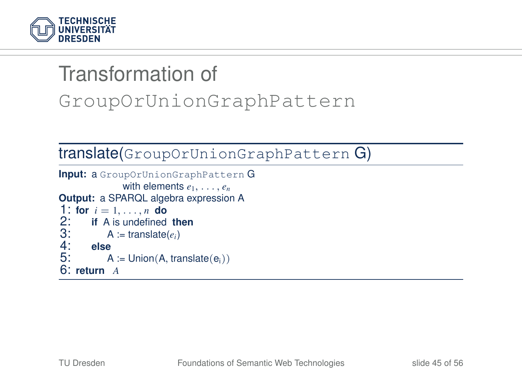

# Transformation of GroupOrUnionGraphPattern

#### translate(GroupOrUnionGraphPattern G)

```
Input: a GroupOrUnionGraphPattern G
                  with elements e_1, \ldots, e_nOutput: a SPARQL algebra expression A
1: for i = 1, \ldots, n do<br>2: if A is undefined
2: if A is undefined then<br>3: A := \text{translate}(e_i)3: A := \text{translate}(e_i)<br>4: else
4: else
             A := Union(A, translate(e<sub>i</sub>))
6: return A
```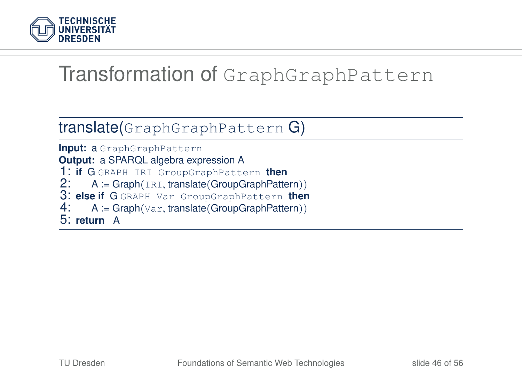

#### Transformation of GraphGraphPattern

#### translate(GraphGraphPattern G)

**Input:** a GraphGraphPattern **Output:** a SPARQL algebra expression A 1: **if** G GRAPH IRI GroupGraphPattern **then**<br>2: A := Graph(IRI, translate(GroupGraphPatte 2: A := Graph(IRI, translate(GroupGraphPattern)) 3: **else if** G GRAPH Var GroupGraphPattern **then** 4: A := Graph(Var, translate(GroupGraphPattern)) 5: **return** A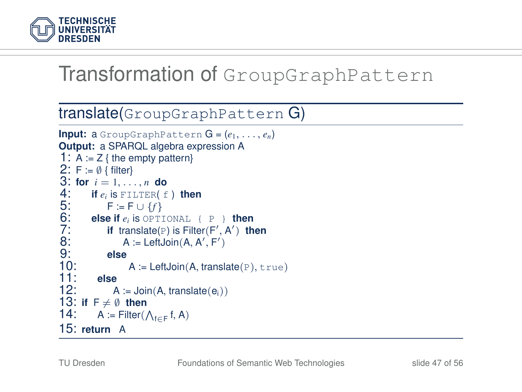

#### Transformation of GroupGraphPattern

#### translate(GroupGraphPattern G)

```
Input: a GroupGraphPattern G = (e_1, \ldots, e_n)Output: a SPARQL algebra expression A
1: A := Z { the empty pattern}
2: F := \emptyset { filter}
3: for i = 1, ..., n do<br>4: if e_i is FILTER( f<br>5: F := F \cup {f}<br>6: else if e_i is OPTIC
          4: if ei is FILTER( f ) then
               5: F := F ∪ {f}
6: else if e_i is OPTIONAL { P } then<br>7: if translate(P) is Filter(F', A') th<br>8: A := LeftJoin(A, A', F')<br>9: else
7: if translate(P) is Filter(F', A') then
B: A := \mathsf{LeftJoin}(A, A', F')9: else
            A := \text{LeftJoin}(A, \text{translate}(P), \text{true})11:<br>12<sup>:</sup>
                 A := Join(A, translate(ei))
13: if F \neq \emptyset then<br>14: A := Filter(
14: A := Filter(\bigwedge_{f \in F} f, A)15: return A
```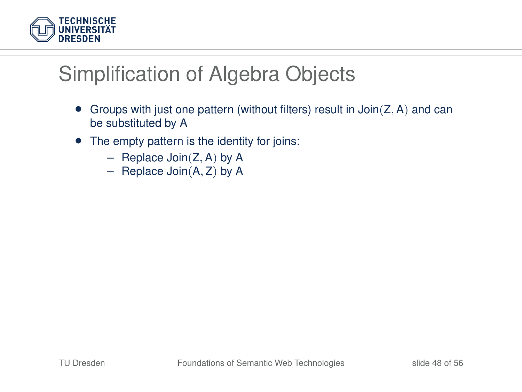

#### Simplification of Algebra Objects

- Groups with just one pattern (without filters) result in  $Join(Z, A)$  and can be substituted by A
- The empty pattern is the identity for joins:
	- Replace Join $(Z, A)$  by A
	- Replace Join(A, Z) by A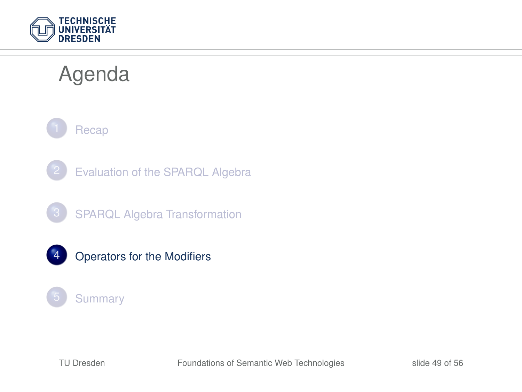

# Agenda



- [Evaluation of the SPARQL Algebra](#page-22-0)
- 3 [SPARQL Algebra Transformation](#page-42-0)
- 4 [Operators for the Modifiers](#page-49-0)

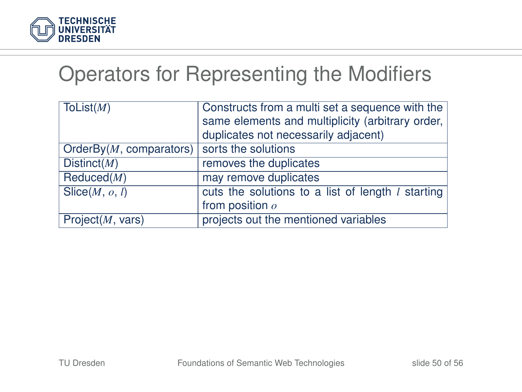

#### Operators for Representing the Modifiers

<span id="page-49-0"></span>

| ToList $(M)$                                    | Constructs from a multi set a sequence with the<br>same elements and multiplicity (arbitrary order,  <br>duplicates not necessarily adjacent) |
|-------------------------------------------------|-----------------------------------------------------------------------------------------------------------------------------------------------|
| OrderBy( $M$ , comparators) sorts the solutions |                                                                                                                                               |
| Distinct( $M$ )                                 | removes the duplicates                                                                                                                        |
| Reduced(M)                                      | may remove duplicates                                                                                                                         |
| Slice(M, o, l)                                  | cuts the solutions to a list of length <i>l</i> starting                                                                                      |
|                                                 | from position $\rho$                                                                                                                          |
| Project(M, vars)                                | projects out the mentioned variables                                                                                                          |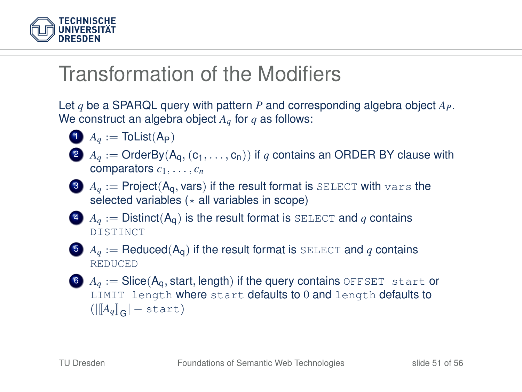

#### Transformation of the Modifiers

Let *q* be a SPARQL query with pattern *P* and corresponding algebra object *AP*. We construct an algebra object *Aq* for *q* as follows:

$$
\bullet \quad A_q := \mathsf{ToList}(A_P)
$$

2  $A_q$  := OrderBy( $A_q$ ,  $(c_1, \ldots, c_n)$ ) if q contains an ORDER BY clause with comparators  $c_1, \ldots, c_n$ 



- $A_{a}$  := Distinct(A<sub>q</sub>) is the result format is SELECT and *q* contains DISTINCT
- 5  $A_q := \text{Reduced}(A_q)$  if the result format is SELECT and q contains **REDUCED**
- $A_q$  := Slice( $A_q$ , start, length) if the query contains OFFSET start or LIMIT length where start defaults to 0 and length defaults to  $(||[A_q]_G|$  – start)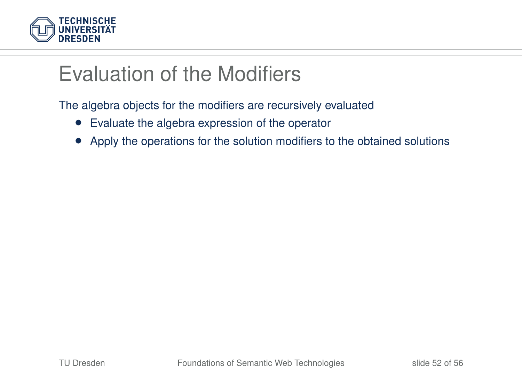

### Evaluation of the Modifiers

The algebra objects for the modifiers are recursively evaluated

- Evaluate the algebra expression of the operator
- Apply the operations for the solution modifiers to the obtained solutions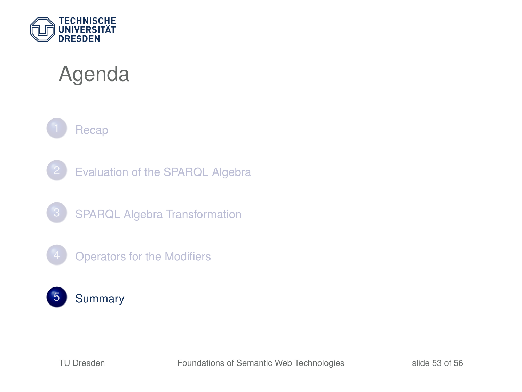

# Agenda



- [Evaluation of the SPARQL Algebra](#page-22-0)
- 3 [SPARQL Algebra Transformation](#page-42-0)
- **[Operators for the Modifiers](#page-49-0)**

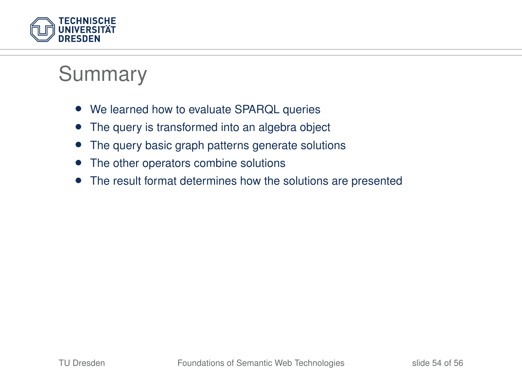

#### Summary

- We learned how to evaluate SPARQL queries
- The query is transformed into an algebra object
- The query basic graph patterns generate solutions
- The other operators combine solutions
- <span id="page-53-0"></span>• The result format determines how the solutions are presented